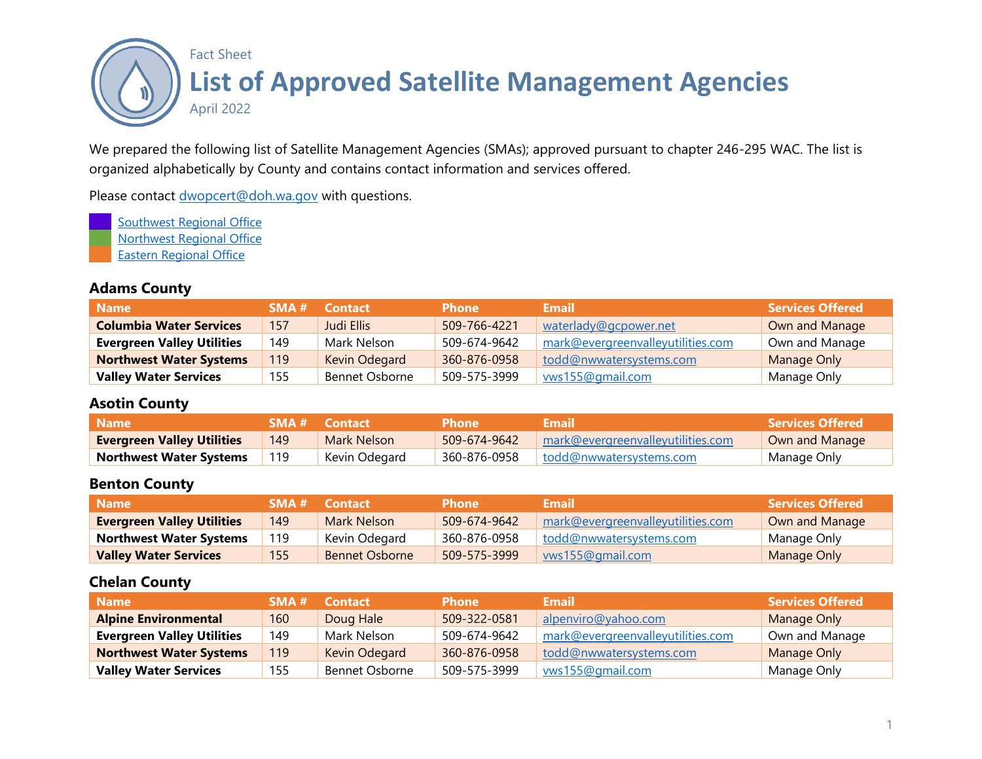

We prepared the following list of Satellite Management Agencies (SMAs); approved pursuant to chapter 246-295 WAC. The list is organized alphabetically by County and contains contact information and services offered.

Please contact [dwopcert@doh.wa.gov](mailto:dwopcert@doh.wa.gov) with questions.

**[Southwest Regional Office](https://www.doh.wa.gov/CommunityandEnvironment/DrinkingWater/OfficesandStaff/SouthwestRegionalOfficeStaff)** [Northwest Regional Office](https://www.doh.wa.gov/CommunityandEnvironment/DrinkingWater/OfficesandStaff/NorthwestRegionalOfficeStaff) [Eastern Regional Office](https://www.doh.wa.gov/CommunityandEnvironment/DrinkingWater/OfficesandStaff/EasternRegionalOfficeStaff)

#### **Adams County**

| <b>Name</b>                       |     | <b>SMA # Contact</b> | <b>Phone</b> | <b>Email</b>                      | <b>Services Offered</b> |
|-----------------------------------|-----|----------------------|--------------|-----------------------------------|-------------------------|
| <b>Columbia Water Services</b>    | 157 | Judi Ellis           | 509-766-4221 | waterlady@gcpower.net             | Own and Manage          |
| <b>Evergreen Valley Utilities</b> | 149 | Mark Nelson          | 509-674-9642 | mark@evergreenvalleyutilities.com | Own and Manage          |
| <b>Northwest Water Systems</b>    | 119 | Kevin Odegard        | 360-876-0958 | todd@nwwatersystems.com           | Manage Only             |
| <b>Valley Water Services</b>      | 155 | Bennet Osborne       | 509-575-3999 | vws155@gmail.com                  | Manage Only             |

#### **Asotin County**

| <b>Name</b>                       |     | <b>SMA # Contact</b> | <b>Phone</b> | Email'                                        | <b>Services Offered</b> |
|-----------------------------------|-----|----------------------|--------------|-----------------------------------------------|-------------------------|
| <b>Evergreen Valley Utilities</b> | 149 | Mark Nelson          | 509-674-9642 | $\parallel$ mark@evergreenvalleyutilities.com | Own and Manage          |
| <b>Northwest Water Systems</b>    | 119 | Kevin Odegard        | 360-876-0958 | todd@nwwatersystems.com                       | Manage Only             |

#### **Benton County**

| <b>Name</b>                       |     | <b>SMA # Contact</b>  | <b>Phone</b> | Email                             | Services Offered \ |
|-----------------------------------|-----|-----------------------|--------------|-----------------------------------|--------------------|
| <b>Evergreen Valley Utilities</b> | 149 | Mark Nelson           | 509-674-9642 | mark@evergreenvalleyutilities.com | Own and Manage     |
| <b>Northwest Water Systems</b>    | 119 | Kevin Odegard         | 360-876-0958 | todd@nwwatersystems.com           | Manage Only        |
| <b>Valley Water Services</b>      | 155 | <b>Bennet Osborne</b> | 509-575-3999 | wws155@gmail.com                  | Manage Only        |

#### **Chelan County**

| <b>Name</b>                       | SMA# | <b>Contact</b> | <b>Phone</b> | Email                             | <b>Services Offered</b> |
|-----------------------------------|------|----------------|--------------|-----------------------------------|-------------------------|
| <b>Alpine Environmental</b>       | 160  | Doug Hale      | 509-322-0581 | alpenviro@yahoo.com               | Manage Only             |
| <b>Evergreen Valley Utilities</b> | 149  | Mark Nelson    | 509-674-9642 | mark@evergreenvalleyutilities.com | Own and Manage          |
| <b>Northwest Water Systems</b>    | 119. | Kevin Odegard  | 360-876-0958 | todd@nwwatersystems.com           | Manage Only             |
| <b>Valley Water Services</b>      | 155  | Bennet Osborne | 509-575-3999 | vws155@gmail.com                  | Manage Only             |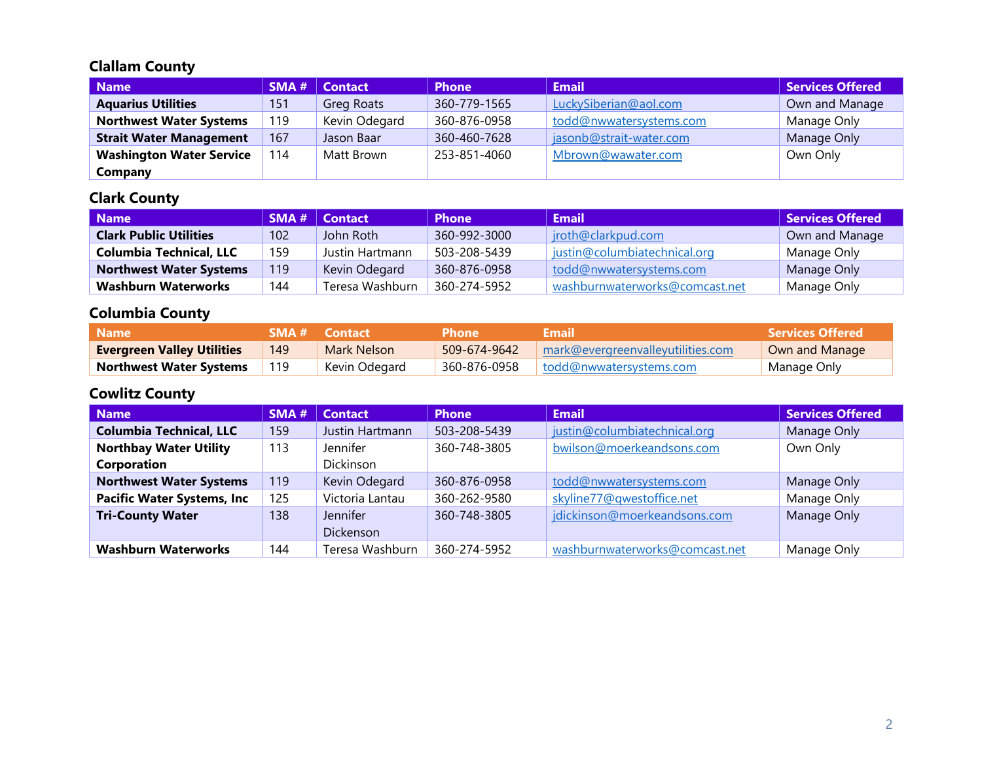#### **Clallam County**

| Name                            | SMA# | <b>Contact</b> | <b>Phone</b> | <b>Email</b>            | <b>Services Offered</b> |
|---------------------------------|------|----------------|--------------|-------------------------|-------------------------|
| <b>Aquarius Utilities</b>       | 151  | Greg Roats     | 360-779-1565 | LuckySiberian@aol.com   | Own and Manage          |
| <b>Northwest Water Systems</b>  | 119  | Kevin Odegard  | 360-876-0958 | todd@nwwatersystems.com | Manage Only             |
| <b>Strait Water Management</b>  | 167  | Jason Baar     | 360-460-7628 | jasonb@strait-water.com | Manage Only             |
| <b>Washington Water Service</b> | 114  | Matt Brown     | 253-851-4060 | Mbrown@wawater.com      | Own Only                |
| Company                         |      |                |              |                         |                         |

# **Clark County**

| Name                           |     | <b>SMA #   Contact</b> | <b>Phone</b> | <b>Email</b>                   | Services Offered |
|--------------------------------|-----|------------------------|--------------|--------------------------------|------------------|
| <b>Clark Public Utilities</b>  | 102 | John Roth              | 360-992-3000 | jroth@clarkpud.com             | Own and Manage   |
| <b>Columbia Technical, LLC</b> | 159 | Justin Hartmann        | 503-208-5439 | justin@columbiatechnical.org   | Manage Only      |
| <b>Northwest Water Systems</b> | 119 | Kevin Odegard          | 360-876-0958 | todd@nwwatersystems.com        | Manage Only      |
| <b>Washburn Waterworks</b>     | 144 | Teresa Washburn        | 360-274-5952 | washburnwaterworks@comcast.net | Manage Only      |

## **Columbia County**

| <b>Name</b>                       |     | <b>SMA # Contact</b> | <b>Phone</b> | Email                             | <b>Services Offered</b> |
|-----------------------------------|-----|----------------------|--------------|-----------------------------------|-------------------------|
| <b>Evergreen Valley Utilities</b> | 149 | Mark Nelson          | 509-674-9642 | mark@evergreenvalleyutilities.com | Own and Manage          |
| <b>Northwest Water Systems</b>    |     | Kevin Odegard        | 360-876-0958 | todd@nwwatersystems.com           | Manage Only             |

## **Cowlitz County**

| <b>Name</b>                       | SMA# | <b>Contact</b>   | <b>Phone</b> | <b>Email</b>                   | <b>Services Offered</b> |
|-----------------------------------|------|------------------|--------------|--------------------------------|-------------------------|
| <b>Columbia Technical, LLC</b>    | 159  | Justin Hartmann  | 503-208-5439 | justin@columbiatechnical.org   | Manage Only             |
| <b>Northbay Water Utility</b>     | 113  | Jennifer         | 360-748-3805 | bwilson@moerkeandsons.com      | Own Only                |
| Corporation                       |      | <b>Dickinson</b> |              |                                |                         |
| <b>Northwest Water Systems</b>    | 119  | Kevin Odegard    | 360-876-0958 | todd@nwwatersystems.com        | Manage Only             |
| <b>Pacific Water Systems, Inc</b> | 125  | Victoria Lantau  | 360-262-9580 | skyline77@qwestoffice.net      | Manage Only             |
| <b>Tri-County Water</b>           | 138  | <b>Jennifer</b>  | 360-748-3805 | jdickinson@moerkeandsons.com   | Manage Only             |
|                                   |      | Dickenson        |              |                                |                         |
| <b>Washburn Waterworks</b>        | 144  | Teresa Washburn  | 360-274-5952 | washburnwaterworks@comcast.net | Manage Only             |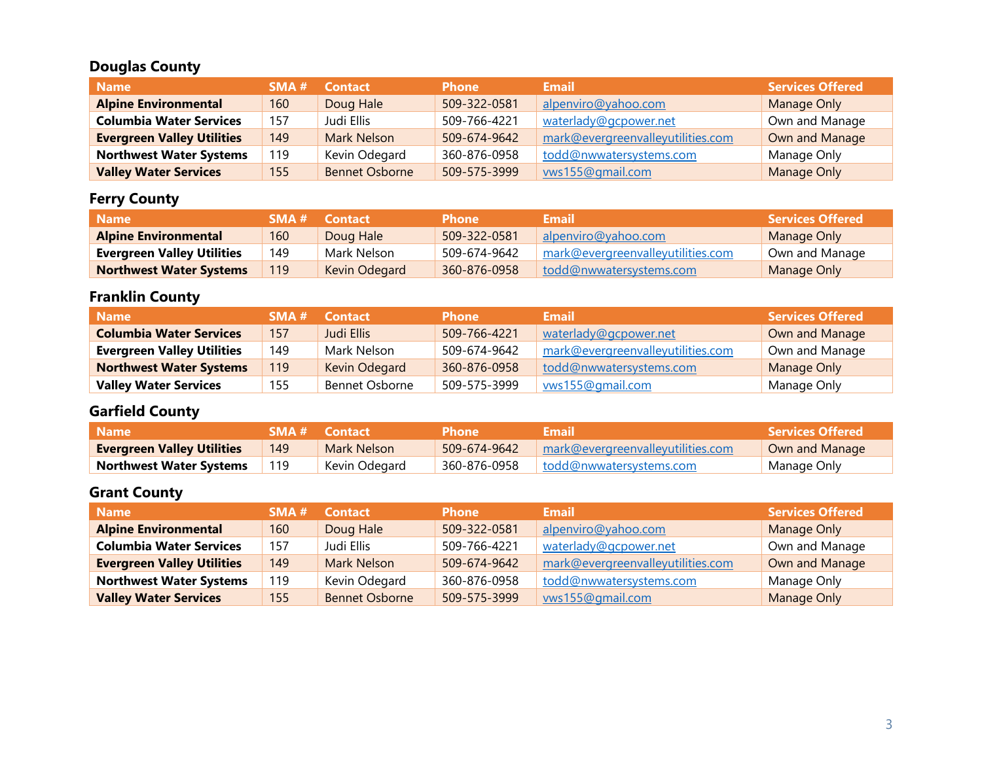## **Douglas County**

| <b>Name</b>                       | SMA H | <b>Contact</b>        | <b>Phone</b> | <b>Email</b>                      | <b>Services Offered</b> |
|-----------------------------------|-------|-----------------------|--------------|-----------------------------------|-------------------------|
| <b>Alpine Environmental</b>       | 160   | Doug Hale             | 509-322-0581 | alpenviro@yahoo.com               | Manage Only             |
| <b>Columbia Water Services</b>    | 157   | Judi Ellis            | 509-766-4221 | waterlady@gcpower.net             | Own and Manage          |
| <b>Evergreen Valley Utilities</b> | 149   | <b>Mark Nelson</b>    | 509-674-9642 | mark@evergreenvalleyutilities.com | Own and Manage          |
| <b>Northwest Water Systems</b>    | 119   | Kevin Odegard         | 360-876-0958 | todd@nwwatersystems.com           | Manage Only             |
| <b>Valley Water Services</b>      | 155   | <b>Bennet Osborne</b> | 509-575-3999 | vws155@gmail.com                  | <b>Manage Only</b>      |

# **Ferry County**

| <b>Name</b>                       | SMA# | Contact       | <b>Phone</b> | Email                             | Services Offered <b>\</b> |
|-----------------------------------|------|---------------|--------------|-----------------------------------|---------------------------|
| <b>Alpine Environmental</b>       | 160  | Doug Hale     | 509-322-0581 | alpenviro@yahoo.com               | Manage Only               |
| <b>Evergreen Valley Utilities</b> | 149  | Mark Nelson   | 509-674-9642 | mark@evergreenvalleyutilities.com | Own and Manage            |
| <b>Northwest Water Systems</b>    | 119  | Kevin Odegard | 360-876-0958 | todd@nwwatersystems.com           | Manage Only               |

## **Franklin County**

| / Name                            | SMA# | <b>Contact</b> | <b>Phone</b> | <b>Email</b>                      | <b>Services Offered</b> |
|-----------------------------------|------|----------------|--------------|-----------------------------------|-------------------------|
| <b>Columbia Water Services</b>    | 157  | Judi Ellis     | 509-766-4221 | waterlady@gcpower.net             | Own and Manage          |
| <b>Evergreen Valley Utilities</b> | 149  | Mark Nelson    | 509-674-9642 | mark@evergreenvalleyutilities.com | Own and Manage          |
| <b>Northwest Water Systems</b>    | 119  | Kevin Odegard  | 360-876-0958 | todd@nwwatersystems.com           | Manage Only             |
| <b>Valley Water Services</b>      | 155  | Bennet Osborne | 509-575-3999 | wws155@gmail.com                  | Manage Only             |

# **Garfield County**

| <b>Name</b>                       |     | <b>SMA # Contact</b> | <b>Phone</b> | Email                             | <b>Services Offered</b> |
|-----------------------------------|-----|----------------------|--------------|-----------------------------------|-------------------------|
| <b>Evergreen Valley Utilities</b> | 149 | Mark Nelson          | 509-674-9642 | mark@evergreenvalleyutilities.com | Own and Manage          |
| <b>Northwest Water Systems</b>    |     | Kevin Odegard        | 360-876-0958 | todd@nwwatersystems.com           | Manage Only             |

## **Grant County**

| <b>Name</b>                       | SMA # | <b>Contact</b>        | <b>Phone</b> | <b>Email</b>                      | <b>Services Offered</b> |
|-----------------------------------|-------|-----------------------|--------------|-----------------------------------|-------------------------|
| <b>Alpine Environmental</b>       | 160   | Doug Hale             | 509-322-0581 | alpenviro@yahoo.com               | Manage Only             |
| <b>Columbia Water Services</b>    | 157   | Judi Ellis            | 509-766-4221 | waterlady@gcpower.net             | Own and Manage          |
| <b>Evergreen Valley Utilities</b> | 149   | <b>Mark Nelson</b>    | 509-674-9642 | mark@evergreenvalleyutilities.com | Own and Manage          |
| <b>Northwest Water Systems</b>    | 119   | Kevin Odegard         | 360-876-0958 | todd@nwwatersystems.com           | Manage Only             |
| <b>Valley Water Services</b>      | 155   | <b>Bennet Osborne</b> | 509-575-3999 | vws155@gmail.com                  | Manage Only             |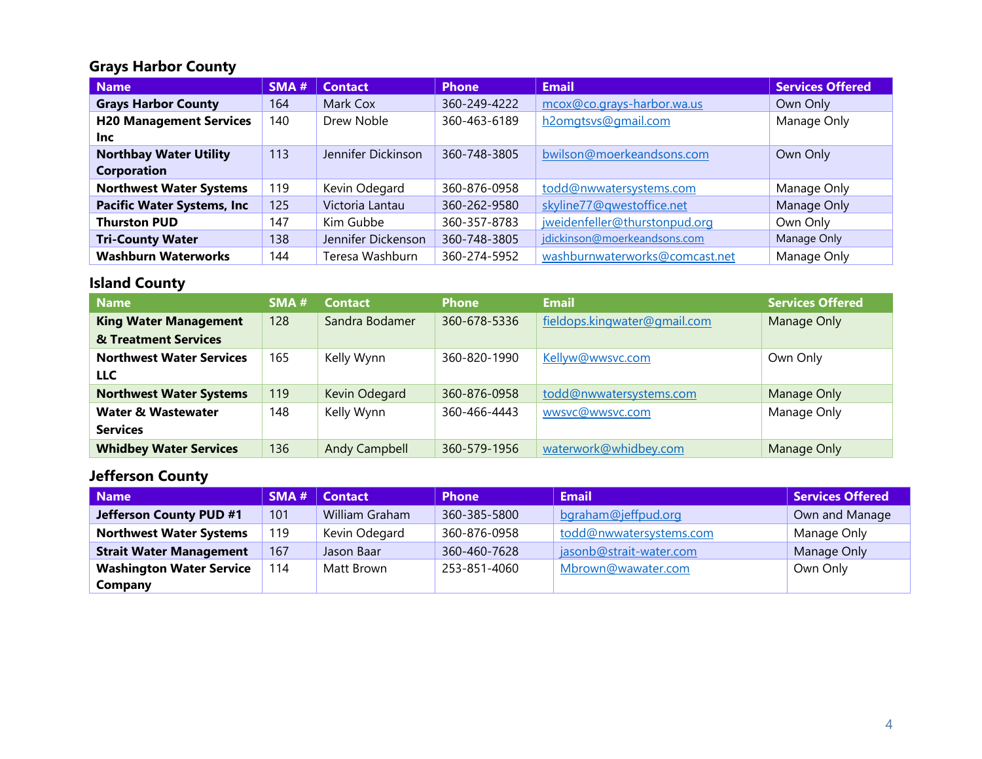#### **Grays Harbor County**

| <b>Name</b>                        | <b>SMA#</b> | <b>Contact</b>     | <b>Phone</b> | <b>Email</b>                   | <b>Services Offered</b> |
|------------------------------------|-------------|--------------------|--------------|--------------------------------|-------------------------|
| <b>Grays Harbor County</b>         | 164         | Mark Cox           | 360-249-4222 | mcox@co.grays-harbor.wa.us     | Own Only                |
| <b>H20 Management Services</b>     | 140         | Drew Noble         | 360-463-6189 | h2omgtsvs@gmail.com            | Manage Only             |
| Inc.                               |             |                    |              |                                |                         |
| <b>Northbay Water Utility</b>      | 113         | Jennifer Dickinson | 360-748-3805 | bwilson@moerkeandsons.com      | Own Only                |
| <b>Corporation</b>                 |             |                    |              |                                |                         |
| <b>Northwest Water Systems</b>     | 119         | Kevin Odegard      | 360-876-0958 | todd@nwwatersystems.com        | Manage Only             |
| <b>Pacific Water Systems, Inc.</b> | 125         | Victoria Lantau    | 360-262-9580 | skyline77@qwestoffice.net      | Manage Only             |
| <b>Thurston PUD</b>                | 147         | Kim Gubbe          | 360-357-8783 | iweidenfeller@thurstonpud.org  | Own Only                |
| <b>Tri-County Water</b>            | 138         | Jennifer Dickenson | 360-748-3805 | jdickinson@moerkeandsons.com   | Manage Only             |
| <b>Washburn Waterworks</b>         | 144         | Teresa Washburn    | 360-274-5952 | washburnwaterworks@comcast.net | Manage Only             |

#### **Island County**

| <b>Name</b>                     | SMA# | <b>Contact</b> | <b>Phone</b> | <b>Email</b>                 | <b>Services Offered</b> |
|---------------------------------|------|----------------|--------------|------------------------------|-------------------------|
| <b>King Water Management</b>    | 128  | Sandra Bodamer | 360-678-5336 | fieldops.kingwater@gmail.com | Manage Only             |
| & Treatment Services            |      |                |              |                              |                         |
| <b>Northwest Water Services</b> | 165  | Kelly Wynn     | 360-820-1990 | Kellyw@wwsvc.com             | Own Only                |
| <b>LLC</b>                      |      |                |              |                              |                         |
| <b>Northwest Water Systems</b>  | 119  | Kevin Odegard  | 360-876-0958 | todd@nwwatersystems.com      | Manage Only             |
| <b>Water &amp; Wastewater</b>   | 148  | Kelly Wynn     | 360-466-4443 | wwsvc@wwsvc.com              | Manage Only             |
| <b>Services</b>                 |      |                |              |                              |                         |
| <b>Whidbey Water Services</b>   | 136  | Andy Campbell  | 360-579-1956 | waterwork@whidbey.com        | Manage Only             |

## **Jefferson County**

| <b>Name</b>                     | SMA# | <b>Contact</b> | <b>Phone</b> | <b>Email</b>            | Services Offered |
|---------------------------------|------|----------------|--------------|-------------------------|------------------|
| Jefferson County PUD #1         | 101  | William Graham | 360-385-5800 | bgraham@jeffpud.org     | Own and Manage   |
| <b>Northwest Water Systems</b>  | 119  | Kevin Odegard  | 360-876-0958 | todd@nwwatersystems.com | Manage Only      |
| <b>Strait Water Management</b>  | 167  | Jason Baar     | 360-460-7628 | jasonb@strait-water.com | Manage Only      |
| <b>Washington Water Service</b> | 114  | Matt Brown     | 253-851-4060 | Mbrown@wawater.com      | Own Only         |
| Company                         |      |                |              |                         |                  |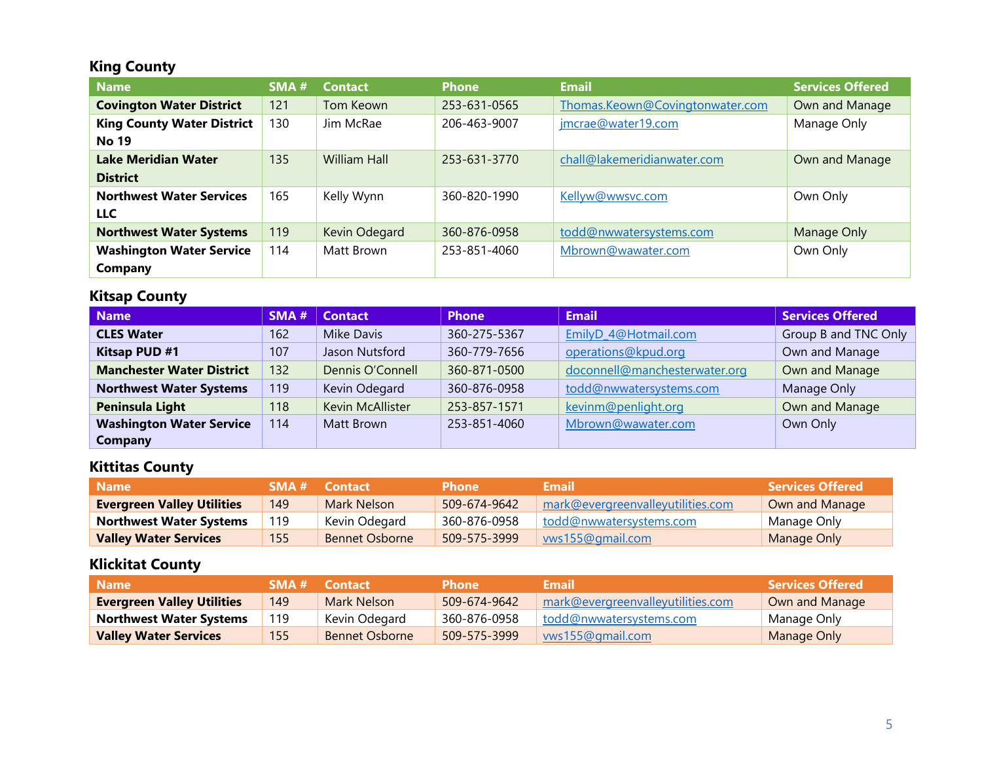## **King County**

| <b>Name</b>                       | SMA# | <b>Contact</b>      | <b>Phone</b> | <b>Email</b>                    | <b>Services Offered</b> |
|-----------------------------------|------|---------------------|--------------|---------------------------------|-------------------------|
| <b>Covington Water District</b>   | 121  | Tom Keown           | 253-631-0565 | Thomas.Keown@Covingtonwater.com | Own and Manage          |
| <b>King County Water District</b> | 130  | Jim McRae           | 206-463-9007 | jmcrae@water19.com              | Manage Only             |
| <b>No 19</b>                      |      |                     |              |                                 |                         |
| <b>Lake Meridian Water</b>        | 135  | <b>William Hall</b> | 253-631-3770 | chall@lakemeridianwater.com     | Own and Manage          |
| <b>District</b>                   |      |                     |              |                                 |                         |
| <b>Northwest Water Services</b>   | 165  | Kelly Wynn          | 360-820-1990 | Kellyw@wwsvc.com                | Own Only                |
| <b>LLC</b>                        |      |                     |              |                                 |                         |
| <b>Northwest Water Systems</b>    | 119  | Kevin Odegard       | 360-876-0958 | todd@nwwatersystems.com         | Manage Only             |
| <b>Washington Water Service</b>   | 114  | Matt Brown          | 253-851-4060 | Mbrown@wawater.com              | Own Only                |
| Company                           |      |                     |              |                                 |                         |

#### **Kitsap County**

| <b>Name</b>                      | SMA# | <b>Contact</b>   | <b>Phone</b> | <b>Email</b>                  | <b>Services Offered</b> |
|----------------------------------|------|------------------|--------------|-------------------------------|-------------------------|
| <b>CLES Water</b>                | 162  | Mike Davis       | 360-275-5367 | EmilyD_4@Hotmail.com          | Group B and TNC Only    |
| <b>Kitsap PUD #1</b>             | 107  | Jason Nutsford   | 360-779-7656 | operations@kpud.org           | Own and Manage          |
| <b>Manchester Water District</b> | 132  | Dennis O'Connell | 360-871-0500 | doconnell@manchesterwater.org | Own and Manage          |
| <b>Northwest Water Systems</b>   | 119  | Kevin Odegard    | 360-876-0958 | todd@nwwatersystems.com       | Manage Only             |
| Peninsula Light                  | 118  | Kevin McAllister | 253-857-1571 | kevinm@penlight.org           | Own and Manage          |
| <b>Washington Water Service</b>  | 114  | Matt Brown       | 253-851-4060 | Mbrown@wawater.com            | Own Only                |
| <b>Company</b>                   |      |                  |              |                               |                         |

#### **Kittitas County**

| <b>Name</b>                       |     | <b>SMA # Contact</b>  | <b>Phone</b> | Email                             | Services Offered \ |
|-----------------------------------|-----|-----------------------|--------------|-----------------------------------|--------------------|
| <b>Evergreen Valley Utilities</b> | 149 | Mark Nelson           | 509-674-9642 | mark@evergreenvalleyutilities.com | Own and Manage     |
| <b>Northwest Water Systems</b>    | 119 | Kevin Odegard         | 360-876-0958 | todd@nwwatersystems.com           | Manage Only        |
| <b>Valley Water Services</b>      | 155 | <b>Bennet Osborne</b> | 509-575-3999 | wws155@gmail.com                  | Manage Only        |

## **Klickitat County**

| <b>Name</b>                       |     | <b>SMA # Contact</b>  | <b>Phone</b> | <b>Email</b> '                    | <b>Services Offered</b> |
|-----------------------------------|-----|-----------------------|--------------|-----------------------------------|-------------------------|
| <b>Evergreen Valley Utilities</b> | 149 | Mark Nelson           | 509-674-9642 | mark@evergreenvalleyutilities.com | Own and Manage          |
| <b>Northwest Water Systems</b>    | 119 | Kevin Odegard         | 360-876-0958 | todd@nwwatersystems.com           | Manage Only             |
| <b>Valley Water Services</b>      | 155 | <b>Bennet Osborne</b> | 509-575-3999 | wws155@gmail.com                  | Manage Only             |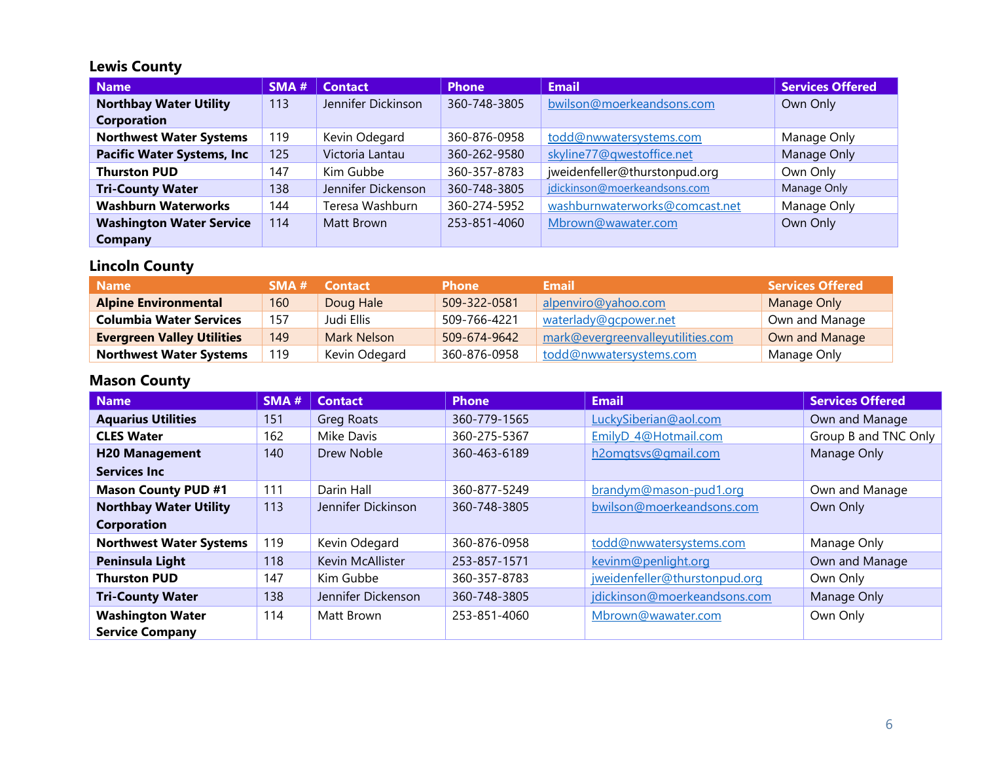## **Lewis County**

| <b>Name</b>                       | SMA# | <b>Contact</b>     | <b>Phone</b> | <b>Email</b>                   | <b>Services Offered</b> |
|-----------------------------------|------|--------------------|--------------|--------------------------------|-------------------------|
| <b>Northbay Water Utility</b>     | 113  | Jennifer Dickinson | 360-748-3805 | bwilson@moerkeandsons.com      | Own Only                |
| Corporation                       |      |                    |              |                                |                         |
| <b>Northwest Water Systems</b>    | 119  | Kevin Odegard      | 360-876-0958 | todd@nwwatersystems.com        | Manage Only             |
| <b>Pacific Water Systems, Inc</b> | 125  | Victoria Lantau    | 360-262-9580 | skyline77@qwestoffice.net      | Manage Only             |
| <b>Thurston PUD</b>               | 147  | Kim Gubbe          | 360-357-8783 | jweidenfeller@thurstonpud.org  | Own Only                |
| <b>Tri-County Water</b>           | 138  | Jennifer Dickenson | 360-748-3805 | jdickinson@moerkeandsons.com   | Manage Only             |
| <b>Washburn Waterworks</b>        | 144  | Teresa Washburn    | 360-274-5952 | washburnwaterworks@comcast.net | Manage Only             |
| <b>Washington Water Service</b>   | 114  | Matt Brown         | 253-851-4060 | Mbrown@wawater.com             | Own Only                |
| Company                           |      |                    |              |                                |                         |

## **Lincoln County**

| <b>Name</b>                       | SMA# | <b>Contact</b> | <b>Phone</b> | Email                             | <b>Services Offered</b> |
|-----------------------------------|------|----------------|--------------|-----------------------------------|-------------------------|
| <b>Alpine Environmental</b>       | 160  | Doug Hale      | 509-322-0581 | alpenviro@yahoo.com               | Manage Only             |
| <b>Columbia Water Services</b>    | 157  | Judi Ellis     | 509-766-4221 | waterlady@gcpower.net             | Own and Manage          |
| <b>Evergreen Valley Utilities</b> | 149  | Mark Nelson    | 509-674-9642 | mark@evergreenvalleyutilities.com | Own and Manage          |
| <b>Northwest Water Systems</b>    | 119  | Kevin Odegard  | 360-876-0958 | todd@nwwatersystems.com           | Manage Only             |

## **Mason County**

| <b>Name</b>                    | SMA# | <b>Contact</b>     | <b>Phone</b> | <b>Email</b>                  | <b>Services Offered</b> |
|--------------------------------|------|--------------------|--------------|-------------------------------|-------------------------|
| <b>Aquarius Utilities</b>      | 151  | <b>Greg Roats</b>  | 360-779-1565 | LuckySiberian@aol.com         | Own and Manage          |
| <b>CLES Water</b>              | 162  | Mike Davis         | 360-275-5367 | EmilyD_4@Hotmail.com          | Group B and TNC Only    |
| <b>H20 Management</b>          | 140  | Drew Noble         | 360-463-6189 | h2omgtsvs@gmail.com           | Manage Only             |
| <b>Services Inc</b>            |      |                    |              |                               |                         |
| <b>Mason County PUD #1</b>     | 111  | Darin Hall         | 360-877-5249 | brandym@mason-pud1.org        | Own and Manage          |
| <b>Northbay Water Utility</b>  | 113  | Jennifer Dickinson | 360-748-3805 | bwilson@moerkeandsons.com     | Own Only                |
| <b>Corporation</b>             |      |                    |              |                               |                         |
| <b>Northwest Water Systems</b> | 119  | Kevin Odegard      | 360-876-0958 | todd@nwwatersystems.com       | Manage Only             |
| Peninsula Light                | 118  | Kevin McAllister   | 253-857-1571 | kevinm@penlight.org           | Own and Manage          |
| <b>Thurston PUD</b>            | 147  | Kim Gubbe          | 360-357-8783 | jweidenfeller@thurstonpud.org | Own Only                |
| <b>Tri-County Water</b>        | 138  | Jennifer Dickenson | 360-748-3805 | jdickinson@moerkeandsons.com  | Manage Only             |
| <b>Washington Water</b>        | 114  | Matt Brown         | 253-851-4060 | Mbrown@wawater.com            | Own Only                |
| <b>Service Company</b>         |      |                    |              |                               |                         |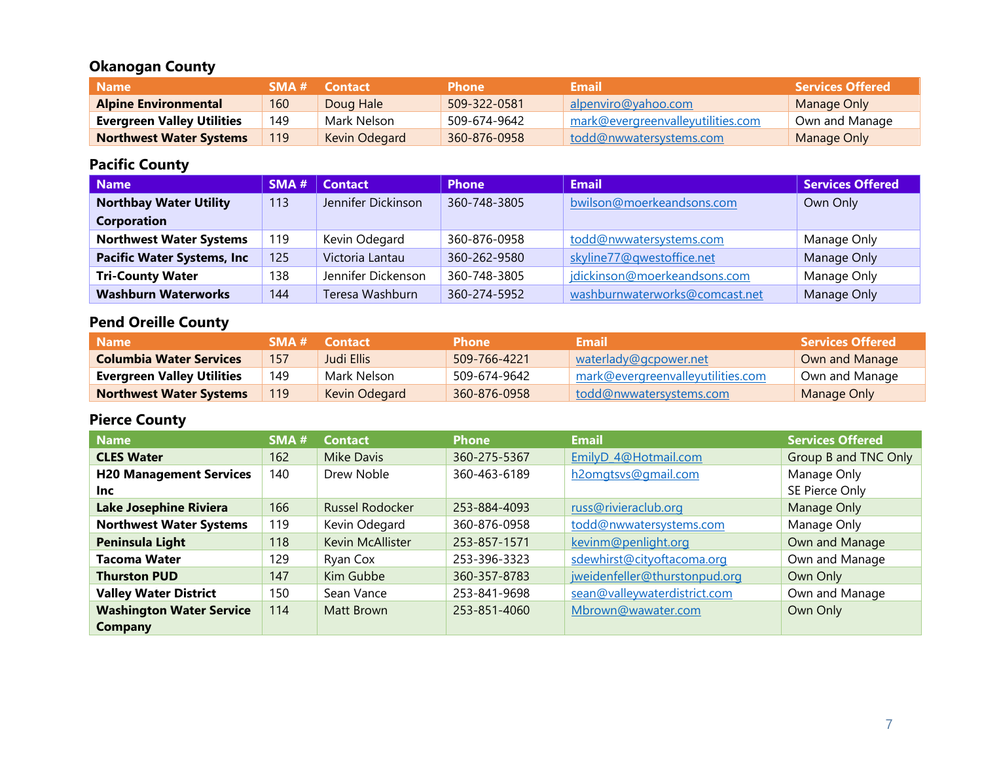## **Okanogan County**

| Name                              | SMA # | <b>Contact</b> | <b>Phone</b> | <b>Email</b>                      | <b>Services Offered</b> |
|-----------------------------------|-------|----------------|--------------|-----------------------------------|-------------------------|
| <b>Alpine Environmental</b>       | 160   | Doug Hale      | 509-322-0581 | alpenviro@yahoo.com               | Manage Only             |
| <b>Evergreen Valley Utilities</b> | 149   | Mark Nelson    | 509-674-9642 | mark@evergreenvalleyutilities.com | Own and Manage          |
| <b>Northwest Water Systems</b>    | 119   | Kevin Odegard  | 360-876-0958 | todd@nwwatersystems.com           | Manage Only             |

#### **Pacific County**

| <b>Name</b>                       | SMA# | <b>Contact</b>     | <b>Phone</b> | <b>Email</b>                   | <b>Services Offered</b> |
|-----------------------------------|------|--------------------|--------------|--------------------------------|-------------------------|
| <b>Northbay Water Utility</b>     | 113  | Jennifer Dickinson | 360-748-3805 | bwilson@moerkeandsons.com      | Own Only                |
| <b>Corporation</b>                |      |                    |              |                                |                         |
| <b>Northwest Water Systems</b>    | 119  | Kevin Odegard      | 360-876-0958 | todd@nwwatersystems.com        | Manage Only             |
| <b>Pacific Water Systems, Inc</b> | 125  | Victoria Lantau    | 360-262-9580 | skyline77@qwestoffice.net      | Manage Only             |
| <b>Tri-County Water</b>           | 138  | Jennifer Dickenson | 360-748-3805 | jdickinson@moerkeandsons.com   | Manage Only             |
| <b>Washburn Waterworks</b>        | 144  | Teresa Washburn    | 360-274-5952 | washburnwaterworks@comcast.net | Manage Only             |

# **Pend Oreille County**

| Name                              |     | <b>SMA # Contact</b> | <b>Phone</b> | Email                             | <b>Services Offered</b> |
|-----------------------------------|-----|----------------------|--------------|-----------------------------------|-------------------------|
| <b>Columbia Water Services</b>    | 157 | Judi Ellis           | 509-766-4221 | waterlady@gcpower.net             | Own and Manage          |
| <b>Evergreen Valley Utilities</b> | 149 | Mark Nelson          | 509-674-9642 | mark@evergreenvalleyutilities.com | Own and Manage          |
| <b>Northwest Water Systems</b>    |     | Kevin Odegard        | 360-876-0958 | todd@nwwatersystems.com           | Manage Only             |

#### **Pierce County**

| <b>Name</b>                     | SMA# | <b>Contact</b>         | <b>Phone</b> | <b>Email</b>                  | <b>Services Offered</b> |
|---------------------------------|------|------------------------|--------------|-------------------------------|-------------------------|
| <b>CLES Water</b>               | 162  | <b>Mike Davis</b>      | 360-275-5367 | EmilyD 4@Hotmail.com          | Group B and TNC Only    |
| <b>H20 Management Services</b>  | 140  | Drew Noble             | 360-463-6189 | h2omgtsvs@gmail.com           | Manage Only             |
| Inc.                            |      |                        |              |                               | SE Pierce Only          |
| <b>Lake Josephine Riviera</b>   | 166  | <b>Russel Rodocker</b> | 253-884-4093 | russ@rivieraclub.org          | Manage Only             |
| <b>Northwest Water Systems</b>  | 119  | Kevin Odegard          | 360-876-0958 | todd@nwwatersystems.com       | Manage Only             |
| Peninsula Light                 | 118  | Kevin McAllister       | 253-857-1571 | kevinm@penlight.org           | Own and Manage          |
| <b>Tacoma Water</b>             | 129  | Ryan Cox               | 253-396-3323 | sdewhirst@cityoftacoma.org    | Own and Manage          |
| <b>Thurston PUD</b>             | 147  | Kim Gubbe              | 360-357-8783 | jweidenfeller@thurstonpud.org | Own Only                |
| <b>Valley Water District</b>    | 150  | Sean Vance             | 253-841-9698 | sean@valleywaterdistrict.com  | Own and Manage          |
| <b>Washington Water Service</b> | 114  | Matt Brown             | 253-851-4060 | Mbrown@wawater.com            | Own Only                |
| Company                         |      |                        |              |                               |                         |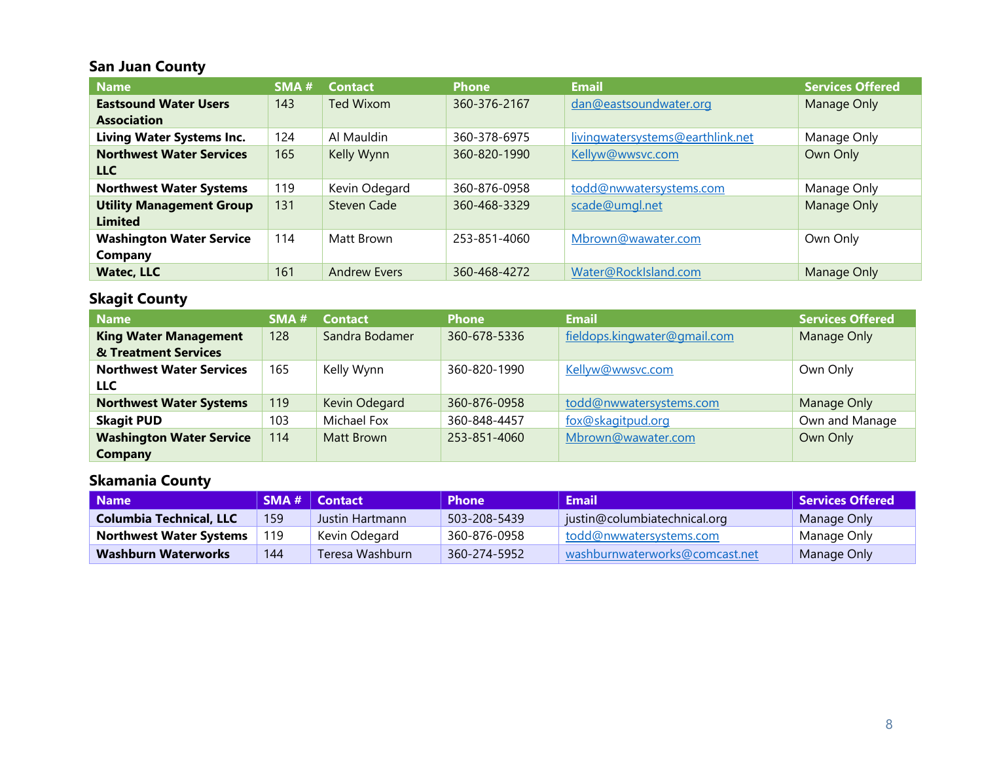## **San Juan County**

| <b>Name</b>                      | SMA# | <b>Contact</b>      | <b>Phone</b> | <b>Email</b>                     | <b>Services Offered</b> |
|----------------------------------|------|---------------------|--------------|----------------------------------|-------------------------|
| <b>Eastsound Water Users</b>     | 143  | <b>Ted Wixom</b>    | 360-376-2167 | dan@eastsoundwater.org           | Manage Only             |
| <b>Association</b>               |      |                     |              |                                  |                         |
| <b>Living Water Systems Inc.</b> | 124  | Al Mauldin          | 360-378-6975 | livingwatersystems@earthlink.net | Manage Only             |
| <b>Northwest Water Services</b>  | 165  | Kelly Wynn          | 360-820-1990 | Kellyw@wwsvc.com                 | Own Only                |
| <b>LLC</b>                       |      |                     |              |                                  |                         |
| <b>Northwest Water Systems</b>   | 119  | Kevin Odegard       | 360-876-0958 | todd@nwwatersystems.com          | Manage Only             |
| <b>Utility Management Group</b>  | 131  | <b>Steven Cade</b>  | 360-468-3329 | scade@umgl.net                   | Manage Only             |
| <b>Limited</b>                   |      |                     |              |                                  |                         |
| <b>Washington Water Service</b>  | 114  | Matt Brown          | 253-851-4060 | Mbrown@wawater.com               | Own Only                |
| <b>Company</b>                   |      |                     |              |                                  |                         |
| <b>Watec, LLC</b>                | 161  | <b>Andrew Evers</b> | 360-468-4272 | Water@RockIsland.com             | Manage Only             |

## **Skagit County**

| <b>Name</b>                     | SMA # | <b>Contact</b> | <b>Phone</b> | <b>Email</b>                 | <b>Services Offered</b> |
|---------------------------------|-------|----------------|--------------|------------------------------|-------------------------|
| <b>King Water Management</b>    | 128   | Sandra Bodamer | 360-678-5336 | fieldops.kingwater@gmail.com | Manage Only             |
| & Treatment Services            |       |                |              |                              |                         |
| <b>Northwest Water Services</b> | 165   | Kelly Wynn     | 360-820-1990 | Kellyw@wwsvc.com             | Own Only                |
| <b>LLC</b>                      |       |                |              |                              |                         |
| <b>Northwest Water Systems</b>  | 119   | Kevin Odegard  | 360-876-0958 | todd@nwwatersystems.com      | Manage Only             |
| <b>Skagit PUD</b>               | 103   | Michael Fox    | 360-848-4457 | fox@skagitpud.org            | Own and Manage          |
| <b>Washington Water Service</b> | 114   | Matt Brown     | 253-851-4060 | Mbrown@wawater.com           | Own Only                |
| <b>Company</b>                  |       |                |              |                              |                         |

## **Skamania County**

| Name                           |     | $SMA #$ Contact | <b>Phone</b> | <b>Email</b>                   | <b>Services Offered</b> |
|--------------------------------|-----|-----------------|--------------|--------------------------------|-------------------------|
| Columbia Technical, LLC        | 159 | Justin Hartmann | 503-208-5439 | justin@columbiatechnical.org   | Manage Only             |
| <b>Northwest Water Systems</b> | 119 | Kevin Odegard   | 360-876-0958 | todd@nwwatersystems.com        | Manage Only             |
| Washburn Waterworks            | 144 | Teresa Washburn | 360-274-5952 | washburnwaterworks@comcast.net | Manage Only             |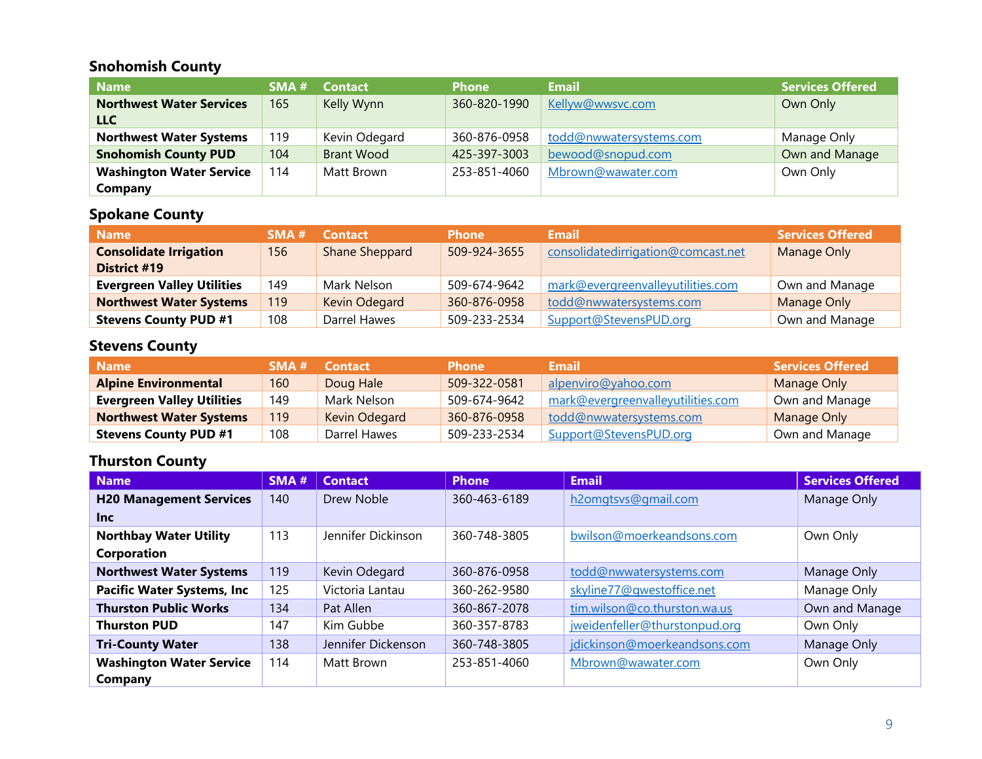#### **Snohomish County**

| <b>Name</b>                     | SMA # | <b>Contact</b>    | <b>Phone</b> | Email                   | <b>Services Offered</b> |
|---------------------------------|-------|-------------------|--------------|-------------------------|-------------------------|
| <b>Northwest Water Services</b> | 165   | Kelly Wynn        | 360-820-1990 | Kellyw@wwsvc.com        | Own Only                |
| <b>LLC</b>                      |       |                   |              |                         |                         |
| <b>Northwest Water Systems</b>  | 119   | Kevin Odegard     | 360-876-0958 | todd@nwwatersystems.com | Manage Only             |
| <b>Snohomish County PUD</b>     | 104   | <b>Brant Wood</b> | 425-397-3003 | bewood@snopud.com       | Own and Manage          |
| <b>Washington Water Service</b> | 114   | Matt Brown        | 253-851-4060 | Mbrown@wawater.com      | Own Only                |
| Company                         |       |                   |              |                         |                         |

## **Spokane County**

| <b>Name</b>                       | SMA# | <b>Contact</b> | <b>Phone</b> | <b>Email</b>                       | <b>Services Offered</b> |
|-----------------------------------|------|----------------|--------------|------------------------------------|-------------------------|
| <b>Consolidate Irrigation</b>     | 156  | Shane Sheppard | 509-924-3655 | consolidatedirrigation@comcast.net | Manage Only             |
| District #19                      |      |                |              |                                    |                         |
| <b>Evergreen Valley Utilities</b> | 149  | Mark Nelson    | 509-674-9642 | mark@evergreenvalleyutilities.com  | Own and Manage          |
| <b>Northwest Water Systems</b>    | 119  | Kevin Odegard  | 360-876-0958 | todd@nwwatersystems.com            | Manage Only             |
| <b>Stevens County PUD #1</b>      | 108  | Darrel Hawes   | 509-233-2534 | Support@StevensPUD.org             | Own and Manage          |

#### **Stevens County**

| <b>Name</b>                       | SMA# | <b>Contact</b> | <b>Phone</b> | Email                             | <b>Services Offered</b> |
|-----------------------------------|------|----------------|--------------|-----------------------------------|-------------------------|
| <b>Alpine Environmental</b>       | 160  | Doug Hale      | 509-322-0581 | alpenviro@yahoo.com               | Manage Only             |
| <b>Evergreen Valley Utilities</b> | 149  | Mark Nelson    | 509-674-9642 | mark@evergreenvalleyutilities.com | Own and Manage          |
| <b>Northwest Water Systems</b>    | 119  | Kevin Odegard  | 360-876-0958 | todd@nwwatersystems.com           | Manage Only             |
| <b>Stevens County PUD #1</b>      | 108  | Darrel Hawes   | 509-233-2534 | Support@StevensPUD.org            | Own and Manage          |

## **Thurston County**

| <b>Name</b>                       | SMA# | <b>Contact</b>     | <b>Phone</b> | <b>Email</b>                  | <b>Services Offered</b> |
|-----------------------------------|------|--------------------|--------------|-------------------------------|-------------------------|
| <b>H20 Management Services</b>    | 140  | Drew Noble         | 360-463-6189 | h2omgtsvs@gmail.com           | Manage Only             |
| <b>Inc</b>                        |      |                    |              |                               |                         |
| <b>Northbay Water Utility</b>     | 113  | Jennifer Dickinson | 360-748-3805 | bwilson@moerkeandsons.com     | Own Only                |
| Corporation                       |      |                    |              |                               |                         |
| <b>Northwest Water Systems</b>    | 119  | Kevin Odegard      | 360-876-0958 | todd@nwwatersystems.com       | Manage Only             |
| <b>Pacific Water Systems, Inc</b> | 125  | Victoria Lantau    | 360-262-9580 | skyline77@qwestoffice.net     | Manage Only             |
| <b>Thurston Public Works</b>      | 134  | Pat Allen          | 360-867-2078 | tim.wilson@co.thurston.wa.us  | Own and Manage          |
| <b>Thurston PUD</b>               | 147  | Kim Gubbe          | 360-357-8783 | jweidenfeller@thurstonpud.org | Own Only                |
| <b>Tri-County Water</b>           | 138  | Jennifer Dickenson | 360-748-3805 | jdickinson@moerkeandsons.com  | Manage Only             |
| <b>Washington Water Service</b>   | 114  | Matt Brown         | 253-851-4060 | Mbrown@wawater.com            | Own Only                |
| Company                           |      |                    |              |                               |                         |